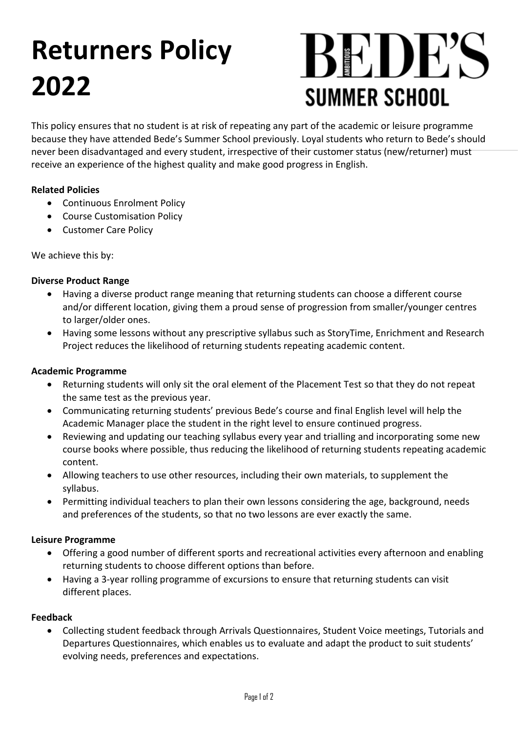## **Returners Policy 2022**

# BRDES **SUMMER SCHOOL**

This policy ensures that no student is at risk of repeating any part of the academic or leisure programme because they have attended Bede's Summer School previously. Loyal students who return to Bede's should never been disadvantaged and every student, irrespective of their customer status (new/returner) must receive an experience of the highest quality and make good progress in English.

#### **Related Policies**

- Continuous Enrolment Policy
- Course Customisation Policy
- Customer Care Policy

We achieve this by:

#### **Diverse Product Range**

- Having a diverse product range meaning that returning students can choose a different course and/or different location, giving them a proud sense of progression from smaller/younger centres to larger/older ones.
- Having some lessons without any prescriptive syllabus such as StoryTime, Enrichment and Research Project reduces the likelihood of returning students repeating academic content.

#### **Academic Programme**

- Returning students will only sit the oral element of the Placement Test so that they do not repeat the same test as the previous year.
- Communicating returning students' previous Bede's course and final English level will help the Academic Manager place the student in the right level to ensure continued progress.
- Reviewing and updating our teaching syllabus every year and trialling and incorporating some new course books where possible, thus reducing the likelihood of returning students repeating academic content.
- Allowing teachers to use other resources, including their own materials, to supplement the syllabus.
- Permitting individual teachers to plan their own lessons considering the age, background, needs and preferences of the students, so that no two lessons are ever exactly the same.

#### **Leisure Programme**

- Offering a good number of different sports and recreational activities every afternoon and enabling returning students to choose different options than before.
- Having a 3-year rolling programme of excursions to ensure that returning students can visit different places.

#### **Feedback**

• Collecting student feedback through Arrivals Questionnaires, Student Voice meetings, Tutorials and Departures Questionnaires, which enables us to evaluate and adapt the product to suit students' evolving needs, preferences and expectations.